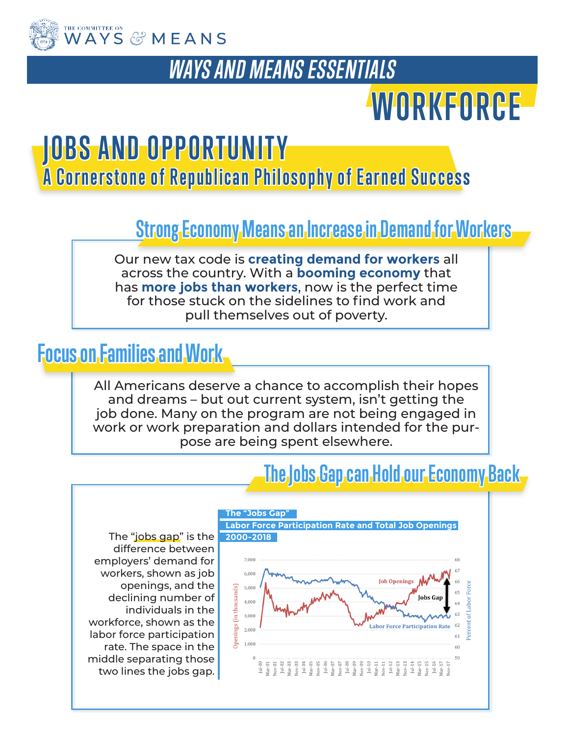

### *WAYS AND MEANS ESSENTIALS*

# **WORKFORCE**

## **J O B S A N D O P P O R T U N I T Y**

**A Cornerstone of Republican Philosophy of Earned Success** 

#### **Strong Economy Means an Increase in Demand for Workers**

Our new tax code is **creating demand for workers** all across the country. With a **booming economy** that has **more jobs than workers**, now is the perfect time for those stuck on the sidelines to find work and pull themselves out of poverty.

#### **Focus on Families and Work**

All Americans deserve a chance to accomplish their hopes and dreams – but out current system, isn't getting the job done. Many on the program are not being engaged in work or work preparation and dollars intended for the purpose are being spent elsewhere.

#### **The Jobs Gap can Hold our Economy Back**

The "jobs gap" is the **2000-2018** difference between employers' demand for workers, shown as job openings, and the declining number of individuals in the workforce, shown as the labor force participation rate. The space in the middle separating those two lines the jobs gap.